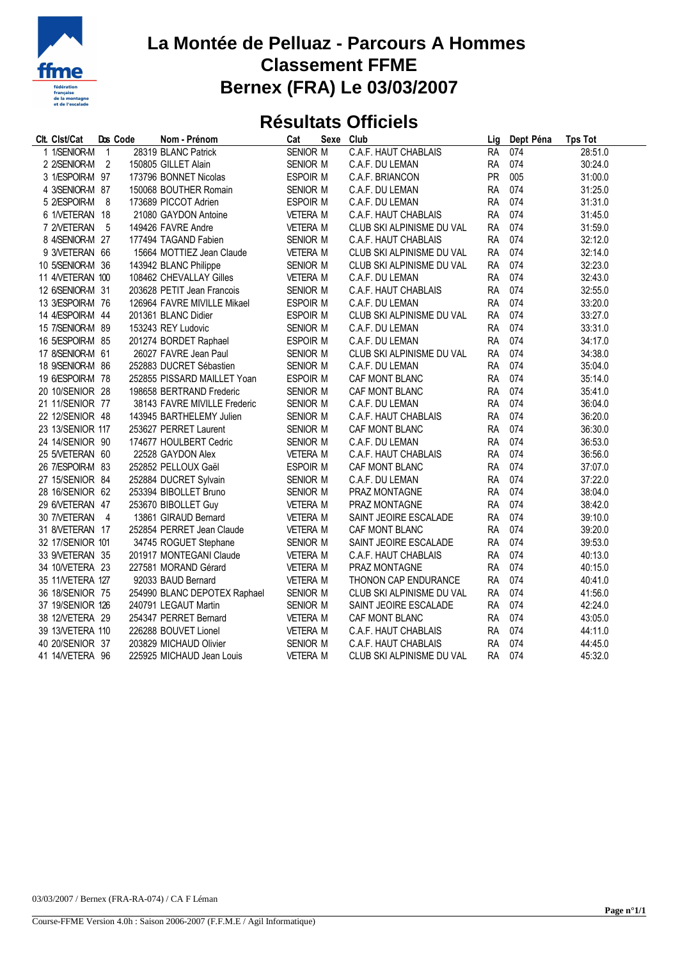

## **La Montée de Pelluaz - Parcours A Hommes Classement FFME Bernex (FRA) Le 03/03/2007**

## **Résultats Officiels**

| Clt. Clst/Cat    |                          | Dos Code | Nom - Prénom                 | Cat             | Sexe | Club                      | Lig       | Dept Péna | <b>Tps Tot</b> |
|------------------|--------------------------|----------|------------------------------|-----------------|------|---------------------------|-----------|-----------|----------------|
| 1 1/SENIOR-M     | $\mathbf{1}$             |          | 28319 BLANC Patrick          | SENIOR M        |      | C.A.F. HAUT CHABLAIS      | <b>RA</b> | 074       | 28:51.0        |
| 2 2/SENIOR-M     | $\overline{\phantom{a}}$ |          | 150805 GILLET Alain          | SENIOR M        |      | C.A.F. DU LEMAN           | <b>RA</b> | 074       | 30:24.0        |
| 3 1/ESPOIR-M 97  |                          |          | 173796 BONNET Nicolas        | <b>ESPOIR M</b> |      | C.A.F. BRIANCON           | <b>PR</b> | 005       | 31:00.0        |
| 4 3/SENIOR-M 87  |                          |          | 150068 BOUTHER Romain        | SENIOR M        |      | C.A.F. DU LEMAN           | <b>RA</b> | 074       | 31:25.0        |
| 5 2/ESPOIR-M 8   |                          |          | 173689 PICCOT Adrien         | <b>ESPOIR M</b> |      | C.A.F. DU LEMAN           | <b>RA</b> | 074       | 31:31.0        |
| 6 1/VETERAN 18   |                          |          | 21080 GAYDON Antoine         | <b>VETERA M</b> |      | C.A.F. HAUT CHABLAIS      | <b>RA</b> | 074       | 31:45.0        |
| 7 2NETERAN       | - 5                      |          | 149426 FAVRE Andre           | <b>VETERA M</b> |      | CLUB SKI ALPINISME DU VAL | <b>RA</b> | 074       | 31:59.0        |
| 8 4/SENIOR-M 27  |                          |          | 177494 TAGAND Fabien         | SENIOR M        |      | C.A.F. HAUT CHABLAIS      | <b>RA</b> | 074       | 32:12.0        |
| 9 3/VETERAN 66   |                          |          | 15664 MOTTIEZ Jean Claude    | <b>VETERA M</b> |      | CLUB SKI ALPINISME DU VAL | <b>RA</b> | 074       | 32:14.0        |
| 10 5/SENIOR-M 36 |                          |          | 143942 BLANC Philippe        | SENIOR M        |      | CLUB SKI ALPINISME DU VAL | <b>RA</b> | 074       | 32:23.0        |
| 11 4/VETERAN 100 |                          |          | 108462 CHEVALLAY Gilles      | <b>VETERA M</b> |      | C.A.F. DU LEMAN           | <b>RA</b> | 074       | 32:43.0        |
| 12 6/SENIOR-M 31 |                          |          | 203628 PETIT Jean Francois   | SENIOR M        |      | C.A.F. HAUT CHABLAIS      | <b>RA</b> | 074       | 32:55.0        |
| 13 3/ESPOIR-M 76 |                          |          | 126964 FAVRE MIVILLE Mikael  | <b>ESPOIR M</b> |      | C.A.F. DU LEMAN           | <b>RA</b> | 074       | 33:20.0        |
| 14 4/ESPOIR-M 44 |                          |          | 201361 BLANC Didier          | <b>ESPOIR M</b> |      | CLUB SKI ALPINISME DU VAL | <b>RA</b> | 074       | 33:27.0        |
| 15 7/SENIOR-M 89 |                          |          | 153243 REY Ludovic           | SENIOR M        |      | C.A.F. DU LEMAN           | <b>RA</b> | 074       | 33:31.0        |
| 16 5/ESPOIR-M 85 |                          |          | 201274 BORDET Raphael        | ESPOIR M        |      | C.A.F. DU LEMAN           | <b>RA</b> | 074       | 34:17.0        |
| 17 8/SENIOR-M 61 |                          |          | 26027 FAVRE Jean Paul        | SENIOR M        |      | CLUB SKI ALPINISME DU VAL | <b>RA</b> | 074       | 34:38.0        |
| 18 9/SENIOR-M 86 |                          |          | 252883 DUCRET Sébastien      | SENIOR M        |      | C.A.F. DU LEMAN           | <b>RA</b> | 074       | 35:04.0        |
| 19 6/ESPOIR-M 78 |                          |          | 252855 PISSARD MAILLET Yoan  | ESPOIR M        |      | CAF MONT BLANC            | <b>RA</b> | 074       | 35:14.0        |
| 20 10/SENIOR 28  |                          |          | 198658 BERTRAND Frederic     | SENIOR M        |      | CAF MONT BLANC            | <b>RA</b> | 074       | 35:41.0        |
| 21 11/SENIOR 77  |                          |          | 38143 FAVRE MIVILLE Frederic | SENIOR M        |      | C.A.F. DU LEMAN           | <b>RA</b> | 074       | 36:04.0        |
| 22 12/SENIOR 48  |                          |          | 143945 BARTHELEMY Julien     | SENIOR M        |      | C.A.F. HAUT CHABLAIS      | <b>RA</b> | 074       | 36:20.0        |
| 23 13/SENIOR 117 |                          |          | 253627 PERRET Laurent        | SENIOR M        |      | CAF MONT BLANC            | <b>RA</b> | 074       | 36:30.0        |
| 24 14/SENIOR 90  |                          |          | 174677 HOULBERT Cedric       | SENIOR M        |      | C.A.F. DU LEMAN           | <b>RA</b> | 074       | 36:53.0        |
| 25 5NETERAN 60   |                          |          | 22528 GAYDON Alex            | <b>VETERA M</b> |      | C.A.F. HAUT CHABLAIS      | <b>RA</b> | 074       | 36:56.0        |
| 26 7/ESPOIR-M 83 |                          |          | 252852 PELLOUX Gaël          | ESPOIR M        |      | CAF MONT BLANC            | <b>RA</b> | 074       | 37:07.0        |
| 27 15/SENIOR 84  |                          |          | 252884 DUCRET Sylvain        | SENIOR M        |      | C.A.F. DU LEMAN           | <b>RA</b> | 074       | 37:22.0        |
| 28 16/SENIOR 62  |                          |          | 253394 BIBOLLET Bruno        | SENIOR M        |      | PRAZ MONTAGNE             | <b>RA</b> | 074       | 38:04.0        |
| 29 6NETERAN 47   |                          |          | 253670 BIBOLLET Guy          | <b>VETERA M</b> |      | PRAZ MONTAGNE             | <b>RA</b> | 074       | 38:42.0        |
| 30 7/VETERAN 4   |                          |          | 13861 GIRAUD Bernard         | <b>VETERA M</b> |      | SAINT JEOIRE ESCALADE     | <b>RA</b> | 074       | 39:10.0        |
| 31 8NETERAN 17   |                          |          | 252854 PERRET Jean Claude    | <b>VETERA M</b> |      | CAF MONT BLANC            | <b>RA</b> | 074       | 39:20.0        |
| 32 17/SENIOR 101 |                          |          | 34745 ROGUET Stephane        | SENIOR M        |      | SAINT JEOIRE ESCALADE     | <b>RA</b> | 074       | 39:53.0        |
| 33 9/VETERAN 35  |                          |          | 201917 MONTEGANI Claude      | <b>VETERA M</b> |      | C.A.F. HAUT CHABLAIS      | <b>RA</b> | 074       | 40:13.0        |
| 34 10/VETERA 23  |                          |          | 227581 MORAND Gérard         | <b>VETERA M</b> |      | PRAZ MONTAGNE             | <b>RA</b> | 074       | 40:15.0        |
| 35 11/VETERA 127 |                          |          | 92033 BAUD Bernard           | <b>VETERA M</b> |      | THONON CAP ENDURANCE      | <b>RA</b> | 074       | 40:41.0        |
| 36 18/SENIOR 75  |                          |          | 254990 BLANC DEPOTEX Raphael | SENIOR M        |      | CLUB SKI ALPINISME DU VAL | <b>RA</b> | 074       | 41:56.0        |
| 37 19/SENIOR 126 |                          |          | 240791 LEGAUT Martin         | SENIOR M        |      | SAINT JEOIRE ESCALADE     | <b>RA</b> | 074       | 42:24.0        |
| 38 12/VETERA 29  |                          |          | 254347 PERRET Bernard        | <b>VETERA M</b> |      | CAF MONT BLANC            | <b>RA</b> | 074       | 43:05.0        |
| 39 13/VETERA 110 |                          |          | 226288 BOUVET Lionel         | <b>VETERA M</b> |      | C.A.F. HAUT CHABLAIS      | <b>RA</b> | 074       | 44:11.0        |
| 40 20/SENIOR 37  |                          |          | 203829 MICHAUD Olivier       | SENIOR M        |      | C.A.F. HAUT CHABLAIS      | <b>RA</b> | 074       | 44:45.0        |
| 41 14/VETERA 96  |                          |          | 225925 MICHAUD Jean Louis    | <b>VETERA M</b> |      | CLUB SKI ALPINISME DU VAL | RA        | 074       | 45:32.0        |
|                  |                          |          |                              |                 |      |                           |           |           |                |